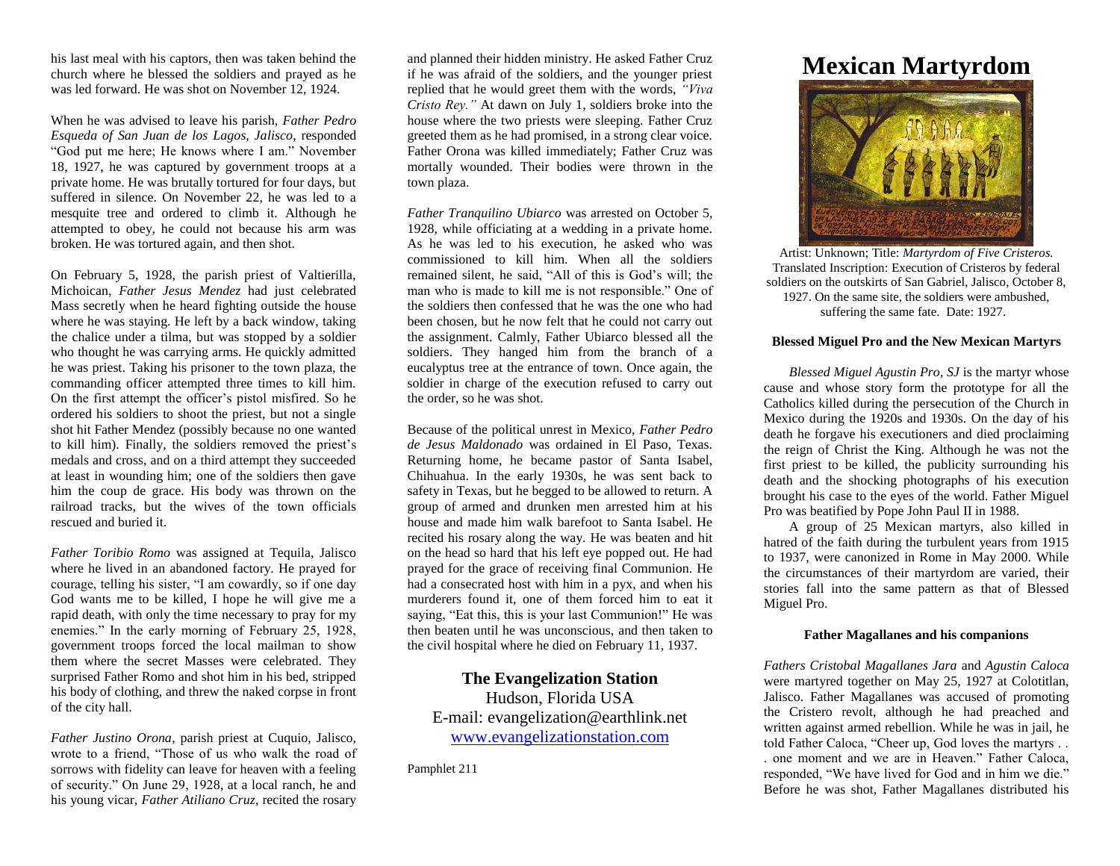his last meal with his captors, then was taken behind the church where he blessed the soldiers and prayed as he was led forward. He was shot on November 12, 1924.

When he was advised to leave his parish, *Father Pedro Esqueda of San Juan de los Lagos, Jalisco*, responded "God put me here; He knows where I am." November 18, 1927, he was captured by government troops at a private home. He was brutally tortured for four days, but suffered in silence. On November 22, he was led to a mesquite tree and ordered to climb it. Although he attempted to obey, he could not because his arm was broken. He was tortured again, and then shot.

On February 5, 1928, the parish priest of Valtierilla, Michoican, *Father Jesus Mendez* had just celebrated Mass secretly when he heard fighting outside the house where he was staying. He left by a back window, taking the chalice under a tilma, but was stopped by a soldier who thought he was carrying arms. He quickly admitted he was priest. Taking his prisoner to the town plaza, the commanding officer attempted three times to kill him. On the first attempt the officer's pistol misfired. So he ordered his soldiers to shoot the priest, but not a single shot hit Father Mendez (possibly because no one wanted to kill him). Finally, the soldiers removed the priest's medals and cross, and on a third attempt they succeeded at least in wounding him; one of the soldiers then gave him the coup de grace. His body was thrown on the railroad tracks, but the wives of the town officials rescued and buried it.

*Father Toribio Romo* was assigned at Tequila, Jalisco where he lived in an abandoned factory. He prayed for courage, telling his sister, "I am cowardly, so if one day God wants me to be killed, I hope he will give me a rapid death, with only the time necessary to pray for my enemies." In the early morning of February 25, 1928, government troops forced the local mailman to show them where the secret Masses were celebrated. They surprised Father Romo and shot him in his bed, stripped his body of clothing, and threw the naked corpse in front of the city hall.

*Father Justino Orona*, parish priest at Cuquio, Jalisco, wrote to a friend, "Those of us who walk the road of sorrows with fidelity can leave for heaven with a feeling of security." On June 29, 1928, at a local ranch, he and his young vicar, *Father Atiliano Cruz*, recited the rosary

and planned their hidden ministry. He asked Father Cruz if he was afraid of the soldiers, and the younger priest replied that he would greet them with the words, *"Viva Cristo Rey."* At dawn on July 1, soldiers broke into the house where the two priests were sleeping. Father Cruz greeted them as he had promised, in a strong clear voice. Father Orona was killed immediately; Father Cruz was mortally wounded. Their bodies were thrown in the town plaza.

*Father Tranquilino Ubiarco* was arrested on October 5, 1928, while officiating at a wedding in a private home. As he was led to his execution, he asked who was commissioned to kill him. When all the soldiers remained silent, he said, "All of this is God's will; the man who is made to kill me is not responsible." One of the soldiers then confessed that he was the one who had been chosen, but he now felt that he could not carry out the assignment. Calmly, Father Ubiarco blessed all the soldiers. They hanged him from the branch of a eucalyptus tree at the entrance of town. Once again, the soldier in charge of the execution refused to carry out the order, so he was shot.

Because of the political unrest in Mexico, *Father Pedro de Jesus Maldonado* was ordained in El Paso, Texas. Returning home, he became pastor of Santa Isabel, Chihuahua. In the early 1930s, he was sent back to safety in Texas, but he begged to be allowed to return. A group of armed and drunken men arrested him at his house and made him walk barefoot to Santa Isabel. He recited his rosary along the way. He was beaten and hit on the head so hard that his left eye popped out. He had prayed for the grace of receiving final Communion. He had a consecrated host with him in a pyx, and when his murderers found it, one of them forced him to eat it saying, "Eat this, this is your last Communion!" He was then beaten until he was unconscious, and then taken to the civil hospital where he died on February 11, 1937.

**The Evangelization Station** Hudson, Florida USA E-mail: evangelization@earthlink.net [www.evangelizationstation.com](http://www.pjpiisoe.org/)

Pamphlet 211

## **Mexican Martyrdom**



Artist: Unknown; Title: *Martyrdom of Five Cristeros.* Translated Inscription: Execution of Cristeros by federal soldiers on the outskirts of San Gabriel, Jalisco, October 8, 1927. On the same site, the soldiers were ambushed, suffering the same fate. Date: 1927.

## **Blessed Miguel Pro and the New Mexican Martyrs**

*Blessed Miguel Agustin Pro, SJ* is the martyr whose cause and whose story form the prototype for all the Catholics killed during the persecution of the Church in Mexico during the 1920s and 1930s. On the day of his death he forgave his executioners and died proclaiming the reign of Christ the King. Although he was not the first priest to be killed, the publicity surrounding his death and the shocking photographs of his execution brought his case to the eyes of the world. Father Miguel Pro was beatified by Pope John Paul II in 1988.

A group of 25 Mexican martyrs, also killed in hatred of the faith during the turbulent years from 1915 to 1937, were canonized in Rome in May 2000. While the circumstances of their martyrdom are varied, their stories fall into the same pattern as that of Blessed Miguel Pro.

## **Father Magallanes and his companions**

*Fathers Cristobal Magallanes Jara* and *Agustin Caloca* were martyred together on May 25, 1927 at Colotitlan, Jalisco. Father Magallanes was accused of promoting the Cristero revolt, although he had preached and written against armed rebellion. While he was in jail, he told Father Caloca, "Cheer up, God loves the martyrs . . . one moment and we are in Heaven." Father Caloca, responded, "We have lived for God and in him we die." Before he was shot, Father Magallanes distributed his